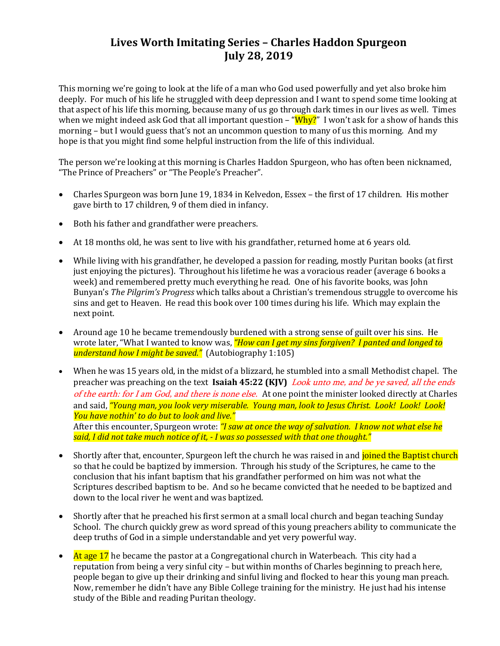# **Lives Worth Imitating Series – Charles Haddon Spurgeon July 28, 2019**

This morning we're going to look at the life of a man who God used powerfully and yet also broke him deeply. For much of his life he struggled with deep depression and I want to spend some time looking at that aspect of his life this morning, because many of us go through dark times in our lives as well. Times when we might indeed ask God that all important question  $-$  " $Why?$ " I won't ask for a show of hands this morning – but I would guess that's not an uncommon question to many of us this morning. And my hope is that you might find some helpful instruction from the life of this individual.

The person we're looking at this morning is Charles Haddon Spurgeon, who has often been nicknamed, "The Prince of Preachers" or "The People's Preacher".

- Charles Spurgeon was born June 19, 1834 in Kelvedon, Essex the first of 17 children. His mother gave birth to 17 children, 9 of them died in infancy.
- Both his father and grandfather were preachers.
- At 18 months old, he was sent to live with his grandfather, returned home at 6 years old.
- While living with his grandfather, he developed a passion for reading, mostly Puritan books (at first just enjoying the pictures). Throughout his lifetime he was a voracious reader (average 6 books a week) and remembered pretty much everything he read. One of his favorite books, was John Bunyan's *The Pilgrim's Progress* which talks about a Christian's tremendous struggle to overcome his sins and get to Heaven. He read this book over 100 times during his life. Which may explain the next point.
- Around age 10 he became tremendously burdened with a strong sense of guilt over his sins. He wrote later, "What I wanted to know was, *"How can I get my sins forgiven? I panted and longed to understand how I might be saved."* (Autobiography 1:105)
- When he was 15 years old, in the midst of a blizzard, he stumbled into a small Methodist chapel. The preacher was preaching on the text **Isaiah 45:22 (KJV)** Look unto me, and be ye saved, all the ends of the earth: for I am God, and there is none else. At one point the minister looked directly at Charles and said, *"Young man, you look very miserable. Young man, look to Jesus Christ. Look! Look! Look! You have nothin' to do but to look and live."*  After this encounter, Spurgeon wrote: *"I saw at once the way of salvation. I know not what else he said, I did not take much notice of it, - I was so possessed with that one thought."*
- Shortly after that, encounter, Spurgeon left the church he was raised in and *joined the Baptist church* so that he could be baptized by immersion. Through his study of the Scriptures, he came to the conclusion that his infant baptism that his grandfather performed on him was not what the Scriptures described baptism to be. And so he became convicted that he needed to be baptized and down to the local river he went and was baptized.
- Shortly after that he preached his first sermon at a small local church and began teaching Sunday School. The church quickly grew as word spread of this young preachers ability to communicate the deep truths of God in a simple understandable and yet very powerful way.
- At age 17 he became the pastor at a Congregational church in Waterbeach. This city had a reputation from being a very sinful city – but within months of Charles beginning to preach here, people began to give up their drinking and sinful living and flocked to hear this young man preach. Now, remember he didn't have any Bible College training for the ministry. He just had his intense study of the Bible and reading Puritan theology.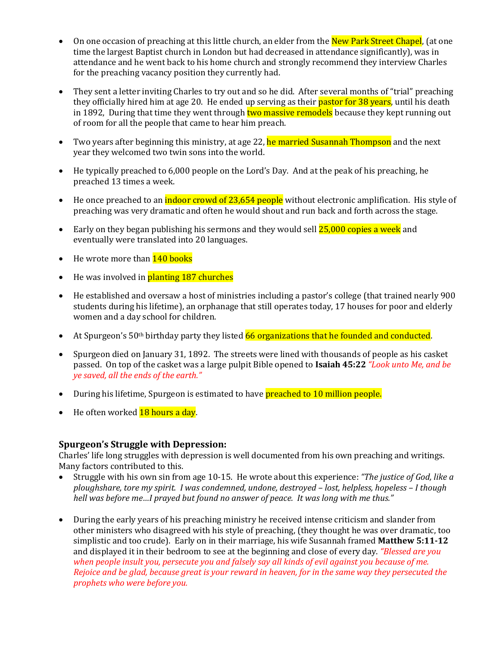- On one occasion of preaching at this little church, an elder from the New Park Street Chapel, (at one time the largest Baptist church in London but had decreased in attendance significantly), was in attendance and he went back to his home church and strongly recommend they interview Charles for the preaching vacancy position they currently had.
- They sent a letter inviting Charles to try out and so he did. After several months of "trial" preaching they officially hired him at age 20. He ended up serving as their <mark>pastor for 38 years</mark>, until his death in 1892, During that time they went through two massive remodels because they kept running out of room for all the people that came to hear him preach.
- Two years after beginning this ministry, at age 22, he married Susannah Thompson and the next year they welcomed two twin sons into the world.
- He typically preached to 6,000 people on the Lord's Day. And at the peak of his preaching, he preached 13 times a week.
- He once preached to an **indoor crowd of 23,654 people** without electronic amplification. His style of preaching was very dramatic and often he would shout and run back and forth across the stage.
- Early on they began publishing his sermons and they would sell  $25,000$  copies a week and eventually were translated into 20 languages.
- $\bullet$  He wrote more than  $140$  books
- He was involved in **planting 187 churches**
- He established and oversaw a host of ministries including a pastor's college (that trained nearly 900 students during his lifetime), an orphanage that still operates today, 17 houses for poor and elderly women and a day school for children.
- At Spurgeon's  $50<sup>th</sup>$  birthday party they listed  $66$  organizations that he founded and conducted.
- Spurgeon died on January 31, 1892. The streets were lined with thousands of people as his casket passed. On top of the casket was a large pulpit Bible opened to **Isaiah 45:22** *"Look unto Me, and be ye saved, all the ends of the earth."*
- During his lifetime, Spurgeon is estimated to have **preached to 10 million people.**
- He often worked **18 hours a day**.

#### **Spurgeon's Struggle with Depression:**

Charles' life long struggles with depression is well documented from his own preaching and writings. Many factors contributed to this.

- Struggle with his own sin from age 10-15. He wrote about this experience: *"The justice of God, like a ploughshare, tore my spirit. I was condemned, undone, destroyed – lost, helpless, hopeless – I though hell was before me…I prayed but found no answer of peace. It was long with me thus."*
- During the early years of his preaching ministry he received intense criticism and slander from other ministers who disagreed with his style of preaching, (they thought he was over dramatic, too simplistic and too crude). Early on in their marriage, his wife Susannah framed **Matthew 5:11-12** and displayed it in their bedroom to see at the beginning and close of every day. *"Blessed are you when people insult you, persecute you and falsely say all kinds of evil against you because of me. Rejoice and be glad, because great is your reward in heaven, for in the same way they persecuted the prophets who were before you.*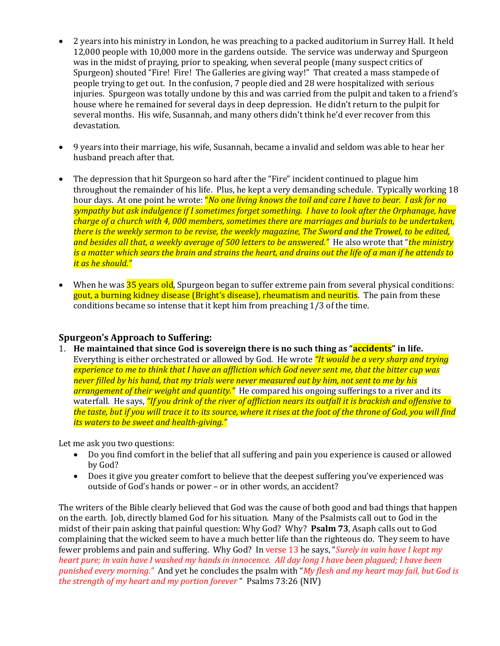- 2 years into his ministry in London, he was preaching to a packed auditorium in Surrey Hall. It held 12,000 people with 10,000 more in the gardens outside. The service was underway and Spurgeon was in the midst of praying, prior to speaking, when several people (many suspect critics of Spurgeon) shouted "Fire! Fire! The Galleries are giving way!" That created a mass stampede of people trying to get out. In the confusion, 7 people died and 28 were hospitalized with serious injuries. Spurgeon was totally undone by this and was carried from the pulpit and taken to a friend's house where he remained for several days in deep depression. He didn't return to the pulpit for several months. His wife, Susannah, and many others didn't think he'd ever recover from this devastation.
- 9 years into their marriage, his wife, Susannah, became a invalid and seldom was able to hear her husband preach after that.
- The depression that hit Spurgeon so hard after the "Fire" incident continued to plague him throughout the remainder of his life. Plus, he kept a very demanding schedule. Typically working 18 hour days. At one point he wrote: "*No one living knows the toil and care I have to bear. I ask for no sympathy but ask indulgence if I sometimes forget something. I have to look after the Orphanage, have charge of a church with 4, 000 members, sometimes there are marriages and burials to be undertaken, there is the weekly sermon to be revise, the weekly magazine, The Sword and the Trowel, to be edited, and besides all that, a weekly average of 500 letters to be answered."* He also wrote that "*the ministry is a matter which sears the brain and strains the heart, and drains out the life of a man if he attends to it as he should."*
- When he was **35 years old**, Spurgeon began to suffer extreme pain from several physical conditions: gout, a burning kidney disease (Bright's disease), rheumatism and neuritis. The pain from these conditions became so intense that it kept him from preaching 1/3 of the time.

### **Spurgeon's Approach to Suffering:**

1. **He maintained that since God is sovereign there is no such thing as "accidents" in life.** Everything is either orchestrated or allowed by God. He wrote *"It would be a very sharp and trying experience to me to think that I have an affliction which God never sent me, that the bitter cup was never filled by his hand, that my trials were never measured out by him, not sent to me by his arrangement of their weight and quantity."* He compared his ongoing sufferings to a river and its waterfall. He says, *"If you drink of the river of affliction nears its outfall it is brackish and offensive to the taste, but if you will trace it to its source, where it rises at the foot of the throne of God, you will find its waters to be sweet and health-giving."*

Let me ask you two questions:

- Do you find comfort in the belief that all suffering and pain you experience is caused or allowed by God?
- Does it give you greater comfort to believe that the deepest suffering you've experienced was outside of God's hands or power – or in other words, an accident?

The writers of the Bible clearly believed that God was the cause of both good and bad things that happen on the earth. Job, directly blamed God for his situation. Many of the Psalmists call out to God in the midst of their pain asking that painful question: Why God? Why? **Psalm 73**, Asaph calls out to God complaining that the wicked seem to have a much better life than the righteous do. They seem to have fewer problems and pain and suffering. Why God? In verse 13 he says, "*Surely in vain have I kept my heart pure; in vain have I washed my hands in innocence. All day long I have been plagued; I have been punished every morning."* And yet he concludes the psalm with "*My flesh and my heart may fail, but God is the strength of my heart and my portion forever* " Psalms 73:26 (NIV)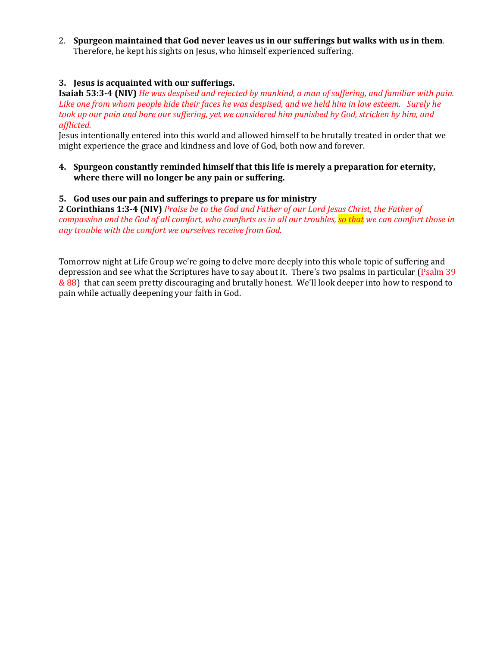2. **Spurgeon maintained that God never leaves us in our sufferings but walks with us in them**. Therefore, he kept his sights on Jesus, who himself experienced suffering.

### **3. Jesus is acquainted with our sufferings.**

**Isaiah 53:3-4 (NIV)** *He was despised and rejected by mankind, a man of suffering, and familiar with pain. Like one from whom people hide their faces he was despised, and we held him in low esteem. Surely he took up our pain and bore our suffering, yet we considered him punished by God, stricken by him, and afflicted.*

Jesus intentionally entered into this world and allowed himself to be brutally treated in order that we might experience the grace and kindness and love of God, both now and forever.

#### **4. Spurgeon constantly reminded himself that this life is merely a preparation for eternity, where there will no longer be any pain or suffering.**

#### **5. God uses our pain and sufferings to prepare us for ministry**

**2 Corinthians 1:3-4 (NIV)** *Praise be to the God and Father of our Lord Jesus Christ, the Father of compassion and the God of all comfort, who comforts us in all our troubles, so that we can comfort those in any trouble with the comfort we ourselves receive from God.*

Tomorrow night at Life Group we're going to delve more deeply into this whole topic of suffering and depression and see what the Scriptures have to say about it. There's two psalms in particular (Psalm 39 & 88) that can seem pretty discouraging and brutally honest. We'll look deeper into how to respond to pain while actually deepening your faith in God.